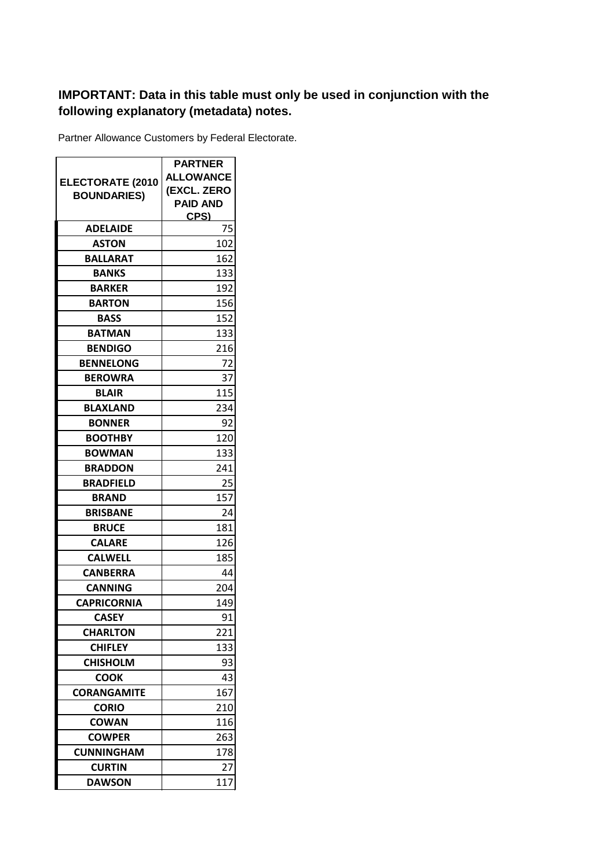## **IMPORTANT: Data in this table must only be used in conjunction with the following explanatory (metadata) notes.**

Partner Allowance Customers by Federal Electorate.

|                         | <b>PARTNER</b>   |
|-------------------------|------------------|
| <b>ELECTORATE (2010</b> | <b>ALLOWANCE</b> |
| <b>BOUNDARIES)</b>      | (EXCL. ZERO      |
|                         | <b>PAID AND</b>  |
| <b>ADELAIDE</b>         | CPS)<br>75       |
|                         |                  |
| ASTON                   | 102              |
| BALLARAT                | 162              |
| <b>BANKS</b>            | 133              |
| <b>BARKER</b>           | 192              |
| <b>BARTON</b>           | 156              |
| <b>BASS</b>             | 152              |
| <b>BATMAN</b>           | 133              |
| <b>BENDIGO</b>          | 216              |
| <b>BENNELONG</b>        | 72               |
| <b>BEROWRA</b>          | 37               |
| <b>BLAIR</b>            | 115              |
| <b>BLAXLAND</b>         | 234              |
| <b>BONNER</b>           | 92               |
| <b>BOOTHBY</b>          | 120              |
| <b>BOWMAN</b>           | 133              |
| <b>BRADDON</b>          | 241              |
| <b>BRADFIELD</b>        | 25               |
| <b>BRAND</b>            | 157              |
| <b>BRISBANE</b>         | 24               |
| <b>BRUCE</b>            | 181              |
| <b>CALARE</b>           | 126              |
| <b>CALWELL</b>          | 185              |
| <b>CANBERRA</b>         | 44               |
| CANNING                 | 204              |
| <b>CAPRICORNIA</b>      | 149              |
| <b>CASEY</b>            | 91               |
| <b>CHARLTON</b>         | 221              |
| <b>CHIFLEY</b>          | 133              |
| <b>CHISHOLM</b>         | 93               |
| <b>COOK</b>             | 43               |
| <b>CORANGAMITE</b>      | 167              |
| <b>CORIO</b>            | 210              |
| <b>COWAN</b>            | 116              |
| <b>COWPER</b>           | 263              |
| <b>CUNNINGHAM</b>       | 178              |
| <b>CURTIN</b>           | 27               |
| <b>DAWSON</b>           | 117              |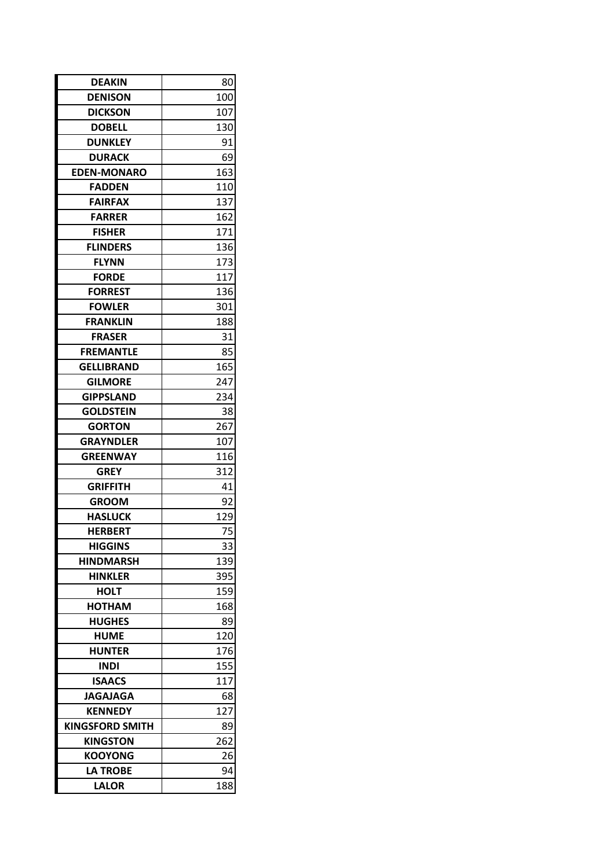| <b>DEAKIN</b>          | 80  |
|------------------------|-----|
| <b>DENISON</b>         | 100 |
| <b>DICKSON</b>         | 107 |
| <b>DOBELL</b>          | 130 |
| <b>DUNKLEY</b>         | 91  |
| <b>DURACK</b>          | 69  |
| <b>EDEN-MONARO</b>     | 163 |
| <b>FADDEN</b>          | 110 |
| <b>FAIRFAX</b>         | 137 |
| <b>FARRER</b>          | 162 |
| <b>FISHER</b>          | 171 |
| <b>FLINDERS</b>        | 136 |
| <b>FLYNN</b>           | 173 |
| <b>FORDE</b>           | 117 |
| <b>FORREST</b>         | 136 |
| <b>FOWLER</b>          | 301 |
| <b>FRANKLIN</b>        | 188 |
| <b>FRASER</b>          | 31  |
| <b>FREMANTLE</b>       | 85  |
| <b>GELLIBRAND</b>      | 165 |
| <b>GILMORE</b>         | 247 |
| <b>GIPPSLAND</b>       | 234 |
| <b>GOLDSTEIN</b>       | 38  |
| <b>GORTON</b>          | 267 |
| <b>GRAYNDLER</b>       | 107 |
| <b>GREENWAY</b>        | 116 |
| <b>GREY</b>            | 312 |
| GRIFFITH               | 41  |
| <b>GROOM</b>           | 92  |
| <b>HASLUCK</b>         | 129 |
| <b>HERBERT</b>         | 75  |
| <b>HIGGINS</b>         | 33  |
| <b>HINDMARSH</b>       | 139 |
| <b>HINKLER</b>         | 395 |
| <b>HOLT</b>            | 159 |
| HOTHAM                 | 168 |
| <b>HUGHES</b>          | 89  |
| <b>HUME</b>            | 120 |
| <b>HUNTER</b>          | 176 |
| <b>INDI</b>            | 155 |
| <b>ISAACS</b>          | 117 |
| <b>JAGAJAGA</b>        | 68  |
| <b>KENNEDY</b>         | 127 |
| <b>KINGSFORD SMITH</b> | 89  |
| <b>KINGSTON</b>        | 262 |
| <b>KOOYONG</b>         | 26  |
| <b>LA TROBE</b>        | 94  |
| <b>LALOR</b>           | 188 |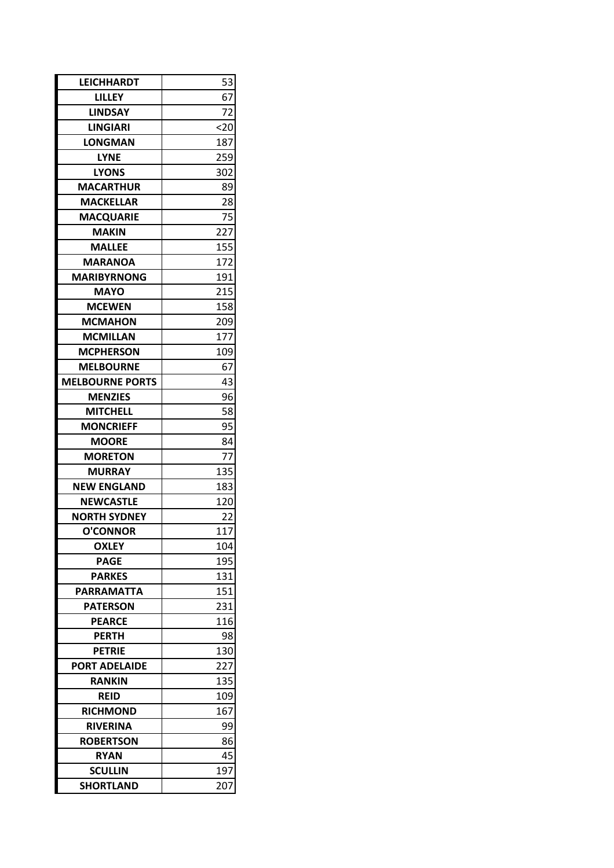| <b>LEICHHARDT</b>      | 53   |  |
|------------------------|------|--|
| <b>LILLEY</b>          | 67   |  |
| <b>LINDSAY</b>         | 72   |  |
| <b>LINGIARI</b>        | $20$ |  |
| <b>LONGMAN</b>         | 187  |  |
| <b>LYNE</b>            | 259  |  |
| <b>LYONS</b>           | 302  |  |
| <b>MACARTHUR</b>       | 89   |  |
| <b>MACKELLAR</b>       | 28   |  |
| <b>MACQUARIE</b>       | 75   |  |
| <b>MAKIN</b>           | 227  |  |
| <b>MALLEE</b>          | 155  |  |
| <b>MARANOA</b>         | 172  |  |
| <b>MARIBYRNONG</b>     | 191  |  |
| <b>MAYO</b>            | 215  |  |
| <b>MCEWEN</b>          | 158  |  |
| <b>MCMAHON</b>         | 209  |  |
| <b>MCMILLAN</b>        | 177  |  |
| <b>MCPHERSON</b>       | 109  |  |
| <b>MELBOURNE</b>       | 67   |  |
| <b>MELBOURNE PORTS</b> | 43   |  |
| <b>MENZIES</b>         | 96   |  |
| <b>MITCHELL</b>        | 58   |  |
| <b>MONCRIEFF</b>       | 95   |  |
| <b>MOORE</b>           | 84   |  |
| <b>MORETON</b>         | 77   |  |
| <b>MURRAY</b>          | 135  |  |
| <b>NEW ENGLAND</b>     | 183  |  |
| <b>NEWCASTLE</b>       | 120  |  |
| <b>NORTH SYDNEY</b>    | 22   |  |
| <b>O'CONNOR</b>        | 117  |  |
| <b>OXLEY</b>           | 104  |  |
| <b>PAGE</b>            | 195  |  |
| <b>PARKES</b>          | 131  |  |
| <b>PARRAMATTA</b>      | 151  |  |
| <b>PATERSON</b>        | 231  |  |
| <b>PEARCE</b>          | 116  |  |
| <b>PERTH</b>           | 98   |  |
| <b>PETRIE</b>          | 130  |  |
| <b>PORT ADELAIDE</b>   | 227  |  |
| <b>RANKIN</b>          | 135  |  |
| <b>REID</b>            | 109  |  |
| <b>RICHMOND</b>        | 167  |  |
| <b>RIVERINA</b>        | 99   |  |
| <b>ROBERTSON</b>       | 86   |  |
| <b>RYAN</b>            | 45   |  |
| <b>SCULLIN</b>         | 197  |  |
| <b>SHORTLAND</b>       | 207  |  |
|                        |      |  |